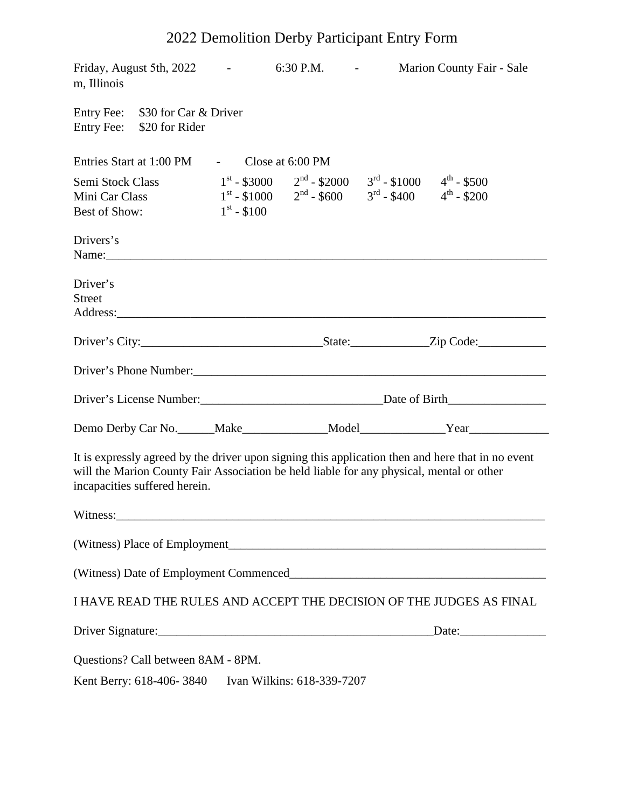# 2022 Demolition Derby Participant Entry Form

| Friday, August 5th, 2022<br>m, Illinois                                                                                                                                                                                        |                                                    |                      | $6:30$ P.M. $\qquad -$                                                                                                                                                                                                         |                                        | Marion County Fair - Sale |  |
|--------------------------------------------------------------------------------------------------------------------------------------------------------------------------------------------------------------------------------|----------------------------------------------------|----------------------|--------------------------------------------------------------------------------------------------------------------------------------------------------------------------------------------------------------------------------|----------------------------------------|---------------------------|--|
| Entry Fee:                                                                                                                                                                                                                     | Entry Fee: \$30 for Car & Driver<br>\$20 for Rider |                      |                                                                                                                                                                                                                                |                                        |                           |  |
|                                                                                                                                                                                                                                | Entries Start at 1:00 PM                           |                      | - Close at $6:00 \text{ PM}$                                                                                                                                                                                                   |                                        |                           |  |
| Semi Stock Class<br>Mini Car Class<br>Best of Show:                                                                                                                                                                            |                                                    | $1^{\rm st}$ - \$100 | $1^{st}$ - \$3000 $2^{nd}$ - \$2000 $3^{rd}$ - \$1000 $4^{th}$ - \$500<br>$1^{st}$ - \$1000 $2^{nd}$ - \$600 $3^{rd}$ - \$400 $4^{th}$ - \$200                                                                                 |                                        |                           |  |
| Drivers's                                                                                                                                                                                                                      |                                                    |                      |                                                                                                                                                                                                                                |                                        |                           |  |
| Driver's<br><b>Street</b>                                                                                                                                                                                                      |                                                    |                      | Address: Analysis and the contract of the contract of the contract of the contract of the contract of the contract of the contract of the contract of the contract of the contract of the contract of the contract of the cont |                                        |                           |  |
|                                                                                                                                                                                                                                |                                                    |                      |                                                                                                                                                                                                                                |                                        |                           |  |
|                                                                                                                                                                                                                                |                                                    |                      |                                                                                                                                                                                                                                |                                        |                           |  |
|                                                                                                                                                                                                                                |                                                    |                      |                                                                                                                                                                                                                                | Driver's License Number: Date of Birth |                           |  |
|                                                                                                                                                                                                                                |                                                    |                      |                                                                                                                                                                                                                                |                                        |                           |  |
| It is expressly agreed by the driver upon signing this application then and here that in no event<br>will the Marion County Fair Association be held liable for any physical, mental or other<br>incapacities suffered herein. |                                                    |                      |                                                                                                                                                                                                                                |                                        |                           |  |
|                                                                                                                                                                                                                                |                                                    |                      | Witness: Witness and the contract of the contract of the contract of the contract of the contract of the contract of the contract of the contract of the contract of the contract of the contract of the contract of the contr |                                        |                           |  |
|                                                                                                                                                                                                                                |                                                    |                      |                                                                                                                                                                                                                                |                                        |                           |  |
|                                                                                                                                                                                                                                |                                                    |                      |                                                                                                                                                                                                                                |                                        |                           |  |
| I HAVE READ THE RULES AND ACCEPT THE DECISION OF THE JUDGES AS FINAL                                                                                                                                                           |                                                    |                      |                                                                                                                                                                                                                                |                                        |                           |  |
|                                                                                                                                                                                                                                |                                                    |                      |                                                                                                                                                                                                                                |                                        |                           |  |
|                                                                                                                                                                                                                                | Questions? Call between 8AM - 8PM.                 |                      |                                                                                                                                                                                                                                |                                        |                           |  |
| Kent Berry: 618-406-3840<br>Ivan Wilkins: 618-339-7207                                                                                                                                                                         |                                                    |                      |                                                                                                                                                                                                                                |                                        |                           |  |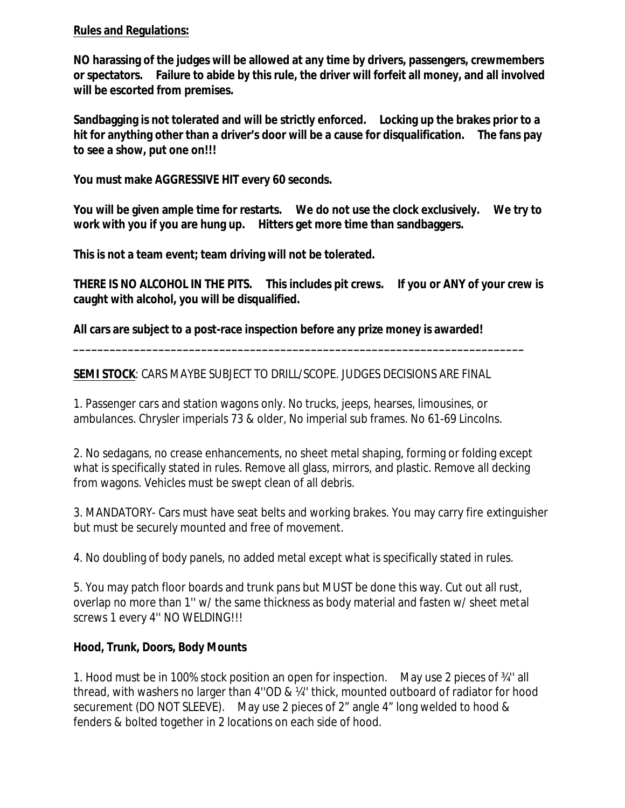## **Rules and Regulations:**

**NO harassing of the judges will be allowed at any time by drivers, passengers, crewmembers or spectators. Failure to abide by this rule, the driver will forfeit all money, and all involved will be escorted from premises.**

**Sandbagging is not tolerated and will be strictly enforced. Locking up the brakes prior to a hit for anything other than a driver's door will be a cause for disqualification. The fans pay to see a show, put one on!!!**

**You must make AGGRESSIVE HIT every 60 seconds.**

**You will be given ample time for restarts. We do not use the clock exclusively. We try to work with you if you are hung up. Hitters get more time than sandbaggers.**

**This is not a team event; team driving will not be tolerated.**

**THERE IS NO ALCOHOL IN THE PITS. This includes pit crews. If you or ANY of your crew is caught with alcohol, you will be disqualified.**

**\_\_\_\_\_\_\_\_\_\_\_\_\_\_\_\_\_\_\_\_\_\_\_\_\_\_\_\_\_\_\_\_\_\_\_\_\_\_\_\_\_\_\_\_\_\_\_\_\_\_\_\_\_\_\_\_\_\_\_\_\_\_\_\_\_\_\_\_\_\_\_\_\_\_**

**All cars are subject to a post-race inspection before any prize money is awarded!** 

#### **SEMI STOCK**: CARS MAYBE SUBJECT TO DRILL/SCOPE. JUDGES DECISIONS ARE FINAL

1. Passenger cars and station wagons only. No trucks, jeeps, hearses, limousines, or ambulances. Chrysler imperials 73 & older, No imperial sub frames. No 61-69 Lincolns.

2. No sedagans, no crease enhancements, no sheet metal shaping, forming or folding except what is specifically stated in rules. Remove all glass, mirrors, and plastic. Remove all decking from wagons. Vehicles must be swept clean of all debris.

3. MANDATORY- Cars must have seat belts and working brakes. You may carry fire extinguisher but must be securely mounted and free of movement.

4. No doubling of body panels, no added metal except what is specifically stated in rules.

5. You may patch floor boards and trunk pans but MUST be done this way. Cut out all rust, overlap no more than 1'' w/ the same thickness as body material and fasten w/ sheet metal screws 1 every 4'' NO WELDING!!!

# **Hood, Trunk, Doors, Body Mounts**

1. Hood must be in 100% stock position an open for inspection. May use 2 pieces of ¾'' all thread, with washers no larger than 4''OD & ¼'' thick, mounted outboard of radiator for hood securement (DO NOT SLEEVE). May use 2 pieces of 2" angle 4" long welded to hood & fenders & bolted together in 2 locations on each side of hood.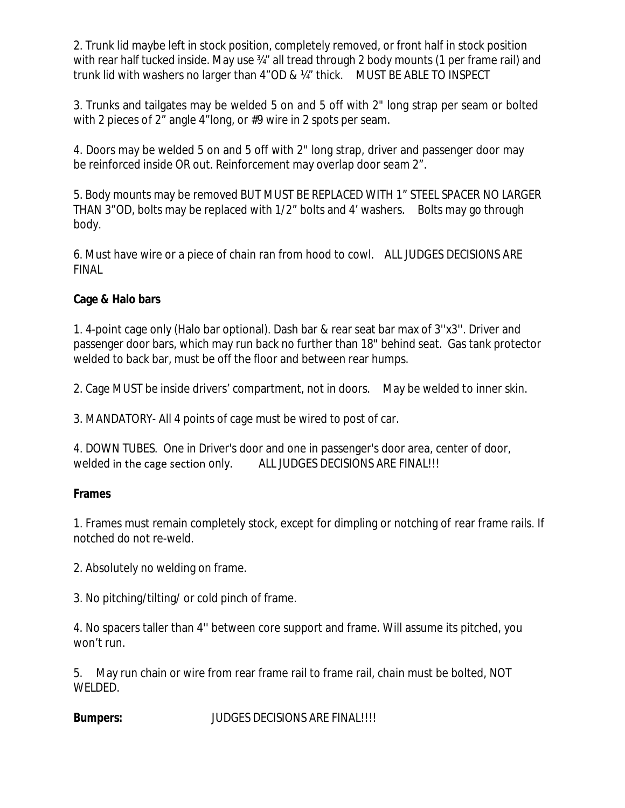2. Trunk lid maybe left in stock position, completely removed, or front half in stock position with rear half tucked inside. May use <sup>34"</sup> all tread through 2 body mounts (1 per frame rail) and trunk lid with washers no larger than 4"OD & ¼" thick. MUST BE ABLE TO INSPECT

3. Trunks and tailgates may be welded 5 on and 5 off with 2" long strap per seam or bolted with 2 pieces of 2" angle 4"long, or #9 wire in 2 spots per seam.

4. Doors may be welded 5 on and 5 off with 2" long strap, driver and passenger door may be reinforced inside OR out. Reinforcement may overlap door seam 2".

5. Body mounts may be removed BUT MUST BE REPLACED WITH 1" STEEL SPACER NO LARGER THAN 3"OD, bolts may be replaced with 1/2" bolts and 4' washers. Bolts may go through body.

6. Must have wire or a piece of chain ran from hood to cowl. ALL JUDGES DECISIONS ARE FINAL

# **Cage & Halo bars**

1. 4-point cage only (Halo bar optional). Dash bar & rear seat bar max of 3''x3''. Driver and passenger door bars, which may run back no further than 18" behind seat. Gas tank protector welded to back bar, must be off the floor and between rear humps.

2. Cage MUST be inside drivers' compartment, not in doors. May be welded to inner skin.

3. MANDATORY- All 4 points of cage must be wired to post of car.

4. DOWN TUBES. One in Driver's door and one in passenger's door area, center of door, welded in the cage section only. ALL JUDGES DECISIONS ARE FINAL!!!

# **Frames**

1. Frames must remain completely stock, except for dimpling or notching of rear frame rails. If notched do not re-weld.

2. Absolutely no welding on frame.

3. No pitching/tilting/ or cold pinch of frame.

4. No spacers taller than 4'' between core support and frame. Will assume its pitched, you won't run.

5. May run chain or wire from rear frame rail to frame rail, chain must be bolted, NOT WELDED.

**Bumpers: JUDGES DECISIONS ARE FINAL!!!!**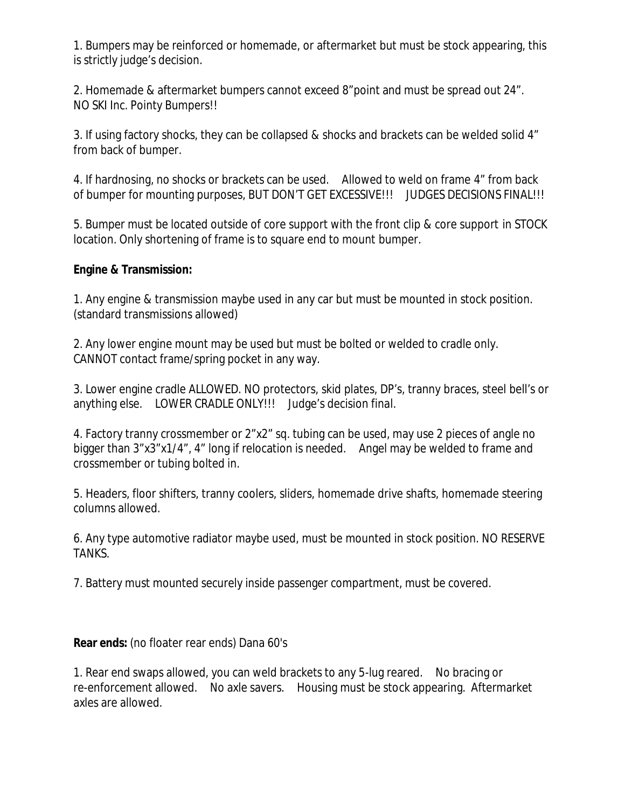1. Bumpers may be reinforced or homemade, or aftermarket but must be stock appearing, this is strictly judge's decision.

2. Homemade & aftermarket bumpers cannot exceed 8"point and must be spread out 24". NO SKI Inc. Pointy Bumpers!!

3. If using factory shocks, they can be collapsed & shocks and brackets can be welded solid 4" from back of bumper.

4. If hardnosing, no shocks or brackets can be used. Allowed to weld on frame 4" from back of bumper for mounting purposes, BUT DON'T GET EXCESSIVE!!! JUDGES DECISIONS FINAL!!!

5. Bumper must be located outside of core support with the front clip & core support in STOCK location. Only shortening of frame is to square end to mount bumper.

## **Engine & Transmission:**

1. Any engine & transmission maybe used in any car but must be mounted in stock position. (standard transmissions allowed)

2. Any lower engine mount may be used but must be bolted or welded to cradle only. CANNOT contact frame/spring pocket in any way.

3. Lower engine cradle ALLOWED. NO protectors, skid plates, DP's, tranny braces, steel bell's or anything else. LOWER CRADLE ONLY!!! Judge's decision final.

4. Factory tranny crossmember or 2"x2" sq. tubing can be used, may use 2 pieces of angle no bigger than 3"x3"x1/4", 4" long if relocation is needed. Angel may be welded to frame and crossmember or tubing bolted in.

5. Headers, floor shifters, tranny coolers, sliders, homemade drive shafts, homemade steering columns allowed.

6. Any type automotive radiator maybe used, must be mounted in stock position. NO RESERVE TANKS.

7. Battery must mounted securely inside passenger compartment, must be covered.

**Rear ends:** (no floater rear ends) Dana 60's

1. Rear end swaps allowed, you can weld brackets to any 5-lug reared. No bracing or re-enforcement allowed. No axle savers. Housing must be stock appearing. Aftermarket axles are allowed.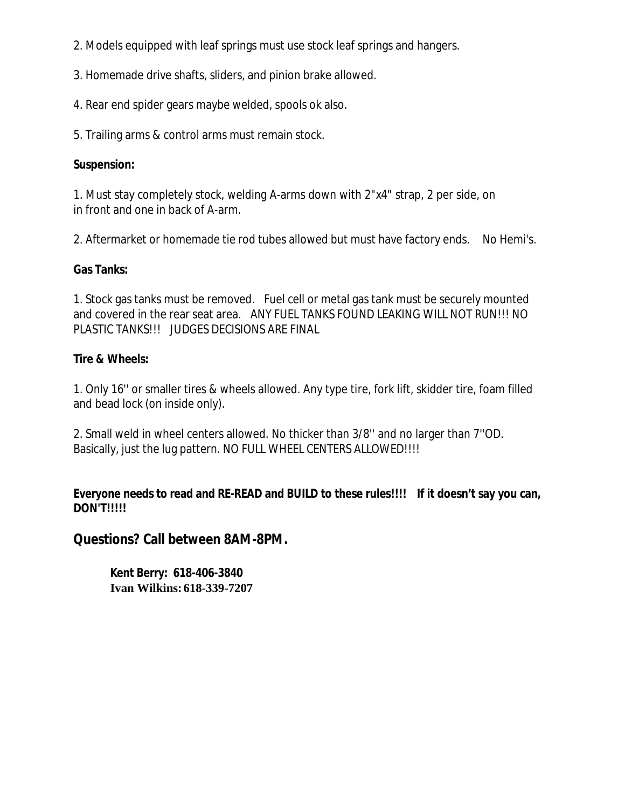2. Models equipped with leaf springs must use stock leaf springs and hangers.

3. Homemade drive shafts, sliders, and pinion brake allowed.

4. Rear end spider gears maybe welded, spools ok also.

5. Trailing arms & control arms must remain stock.

#### **Suspension:**

1. Must stay completely stock, welding A-arms down with 2"x4" strap, 2 per side, on in front and one in back of A-arm.

2. Aftermarket or homemade tie rod tubes allowed but must have factory ends. No Hemi's.

#### **Gas Tanks:**

1. Stock gas tanks must be removed. Fuel cell or metal gas tank must be securely mounted and covered in the rear seat area. ANY FUEL TANKS FOUND LEAKING WILL NOT RUN!!! NO PLASTIC TANKS!!! JUDGES DECISIONS ARE FINAL

#### **Tire & Wheels:**

1. Only 16'' or smaller tires & wheels allowed. Any type tire, fork lift, skidder tire, foam filled and bead lock (on inside only).

2. Small weld in wheel centers allowed. No thicker than 3/8'' and no larger than 7''OD. Basically, just the lug pattern. NO FULL WHEEL CENTERS ALLOWED!!!!

**Everyone needs to read and RE-READ and BUILD to these rules!!!! If it doesn't say you can, DON'T!!!!!**

## **Questions? Call between 8AM-8PM.**

**Kent Berry: 618-406-3840 Ivan Wilkins:618-339-7207**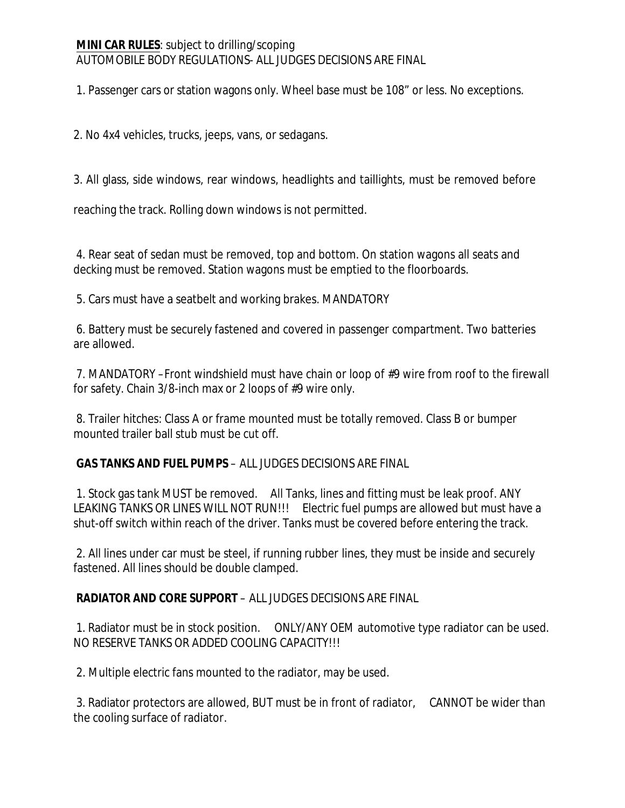## **MINI CAR RULES**: subject to drilling/scoping AUTOMOBILE BODY REGULATIONS- ALL JUDGES DECISIONS ARE FINAL

1. Passenger cars or station wagons only. Wheel base must be 108" or less. No exceptions.

2. No 4x4 vehicles, trucks, jeeps, vans, or sedagans.

3. All glass, side windows, rear windows, headlights and taillights, must be removed before

reaching the track. Rolling down windows is not permitted.

4. Rear seat of sedan must be removed, top and bottom. On station wagons all seats and decking must be removed. Station wagons must be emptied to the floorboards.

5. Cars must have a seatbelt and working brakes. MANDATORY

6. Battery must be securely fastened and covered in passenger compartment. Two batteries are allowed.

7. MANDATORY –Front windshield must have chain or loop of #9 wire from roof to the firewall for safety. Chain 3/8-inch max or 2 loops of #9 wire only.

8. Trailer hitches: Class A or frame mounted must be totally removed. Class B or bumper mounted trailer ball stub must be cut off.

**GAS TANKS AND FUEL PUMPS** – ALL JUDGES DECISIONS ARE FINAL

1. Stock gas tank MUST be removed. All Tanks, lines and fitting must be leak proof. ANY LEAKING TANKS OR LINES WILL NOT RUN!!! Electric fuel pumps are allowed but must have a shut-off switch within reach of the driver. Tanks must be covered before entering the track.

2. All lines under car must be steel, if running rubber lines, they must be inside and securely fastened. All lines should be double clamped.

# **RADIATOR AND CORE SUPPORT** – ALL JUDGES DECISIONS ARE FINAL

1. Radiator must be in stock position. ONLY/ANY OEM automotive type radiator can be used. NO RESERVE TANKS OR ADDED COOLING CAPACITY!!!

2. Multiple electric fans mounted to the radiator, may be used.

3. Radiator protectors are allowed, BUT must be in front of radiator, CANNOT be wider than the cooling surface of radiator.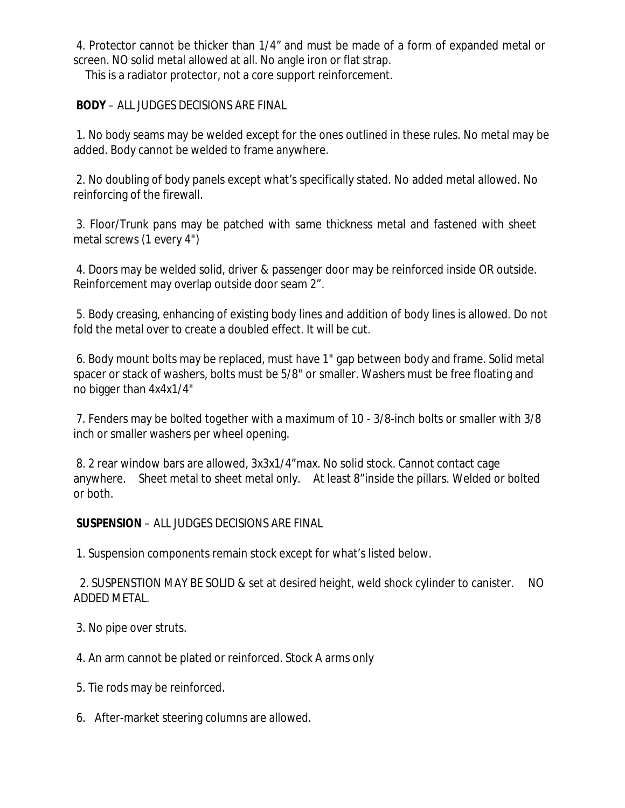4. Protector cannot be thicker than 1/4" and must be made of a form of expanded metal or screen. NO solid metal allowed at all. No angle iron or flat strap.

This is a radiator protector, not a core support reinforcement.

**BODY** – ALL JUDGES DECISIONS ARE FINAL

1. No body seams may be welded except for the ones outlined in these rules. No metal may be added. Body cannot be welded to frame anywhere.

2. No doubling of body panels except what's specifically stated. No added metal allowed. No reinforcing of the firewall.

3. Floor/Trunk pans may be patched with same thickness metal and fastened with sheet metal screws (1 every 4")

4. Doors may be welded solid, driver & passenger door may be reinforced inside OR outside. Reinforcement may overlap outside door seam 2".

5. Body creasing, enhancing of existing body lines and addition of body lines is allowed. Do not fold the metal over to create a doubled effect. It will be cut.

6. Body mount bolts may be replaced, must have 1" gap between body and frame. Solid metal spacer or stack of washers, bolts must be 5/8" or smaller. Washers must be free floating and no bigger than 4x4x1/4"

7. Fenders may be bolted together with a maximum of 10 - 3/8-inch bolts or smaller with 3/8 inch or smaller washers per wheel opening.

8. 2 rear window bars are allowed, 3x3x1/4"max. No solid stock. Cannot contact cage anywhere. Sheet metal to sheet metal only. At least 8"inside the pillars. Welded or bolted or both.

#### **SUSPENSION** – ALL JUDGES DECISIONS ARE FINAL

1. Suspension components remain stock except for what's listed below.

2. SUSPENSTION MAY BE SOLID & set at desired height, weld shock cylinder to canister. NO ADDED METAL.

3. No pipe over struts.

4. An arm cannot be plated or reinforced. Stock A arms only

5. Tie rods may be reinforced.

6. After-market steering columns are allowed.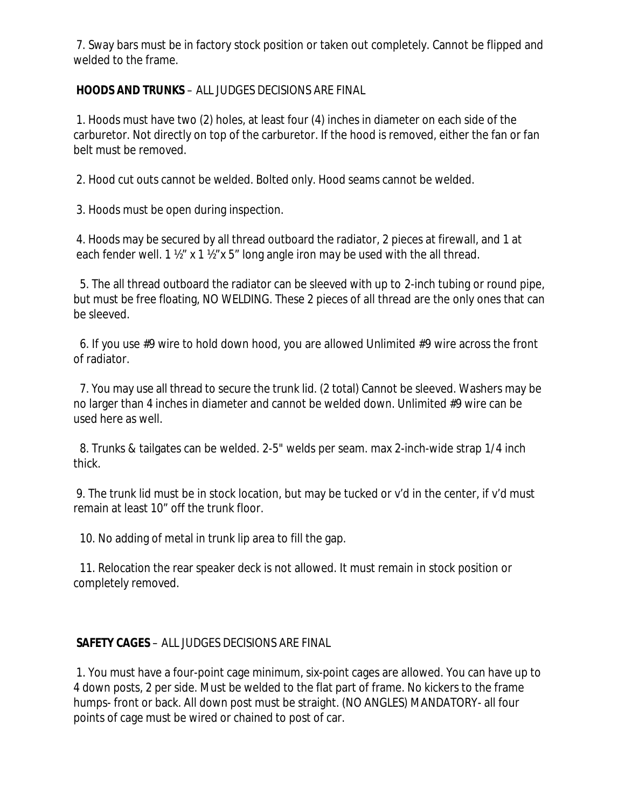7. Sway bars must be in factory stock position or taken out completely. Cannot be flipped and welded to the frame.

## **HOODS AND TRUNKS** – ALL JUDGES DECISIONS ARE FINAL

1. Hoods must have two (2) holes, at least four (4) inches in diameter on each side of the carburetor. Not directly on top of the carburetor. If the hood is removed, either the fan or fan belt must be removed.

2. Hood cut outs cannot be welded. Bolted only. Hood seams cannot be welded.

3. Hoods must be open during inspection.

4. Hoods may be secured by all thread outboard the radiator, 2 pieces at firewall, and 1 at each fender well.  $1 \frac{1}{2}$ " x  $1 \frac{1}{2}$ " x  $5$ " long angle iron may be used with the all thread.

5. The all thread outboard the radiator can be sleeved with up to 2-inch tubing or round pipe, but must be free floating, NO WELDING. These 2 pieces of all thread are the only ones that can be sleeved.

6. If you use #9 wire to hold down hood, you are allowed Unlimited #9 wire across the front of radiator.

7. You may use all thread to secure the trunk lid. (2 total) Cannot be sleeved. Washers may be no larger than 4 inches in diameter and cannot be welded down. Unlimited #9 wire can be used here as well.

8. Trunks & tailgates can be welded. 2-5" welds per seam. max 2-inch-wide strap 1/4 inch thick.

9. The trunk lid must be in stock location, but may be tucked or v'd in the center, if v'd must remain at least 10" off the trunk floor.

10. No adding of metal in trunk lip area to fill the gap.

11. Relocation the rear speaker deck is not allowed. It must remain in stock position or completely removed.

#### **SAFETY CAGES** – ALL JUDGES DECISIONS ARE FINAL

1. You must have a four-point cage minimum, six-point cages are allowed. You can have up to 4 down posts, 2 per side. Must be welded to the flat part of frame. No kickers to the frame humps- front or back. All down post must be straight. (NO ANGLES) MANDATORY- all four points of cage must be wired or chained to post of car.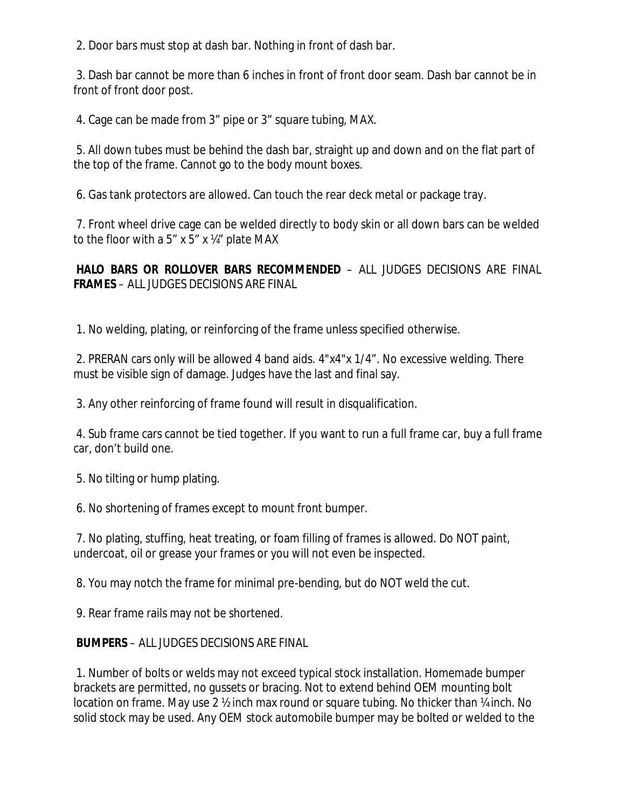2. Door bars must stop at dash bar. Nothing in front of dash bar.

3. Dash bar cannot be more than 6 inches in front of front door seam. Dash bar cannot be in front of front door post.

4. Cage can be made from 3" pipe or 3" square tubing, MAX.

5. All down tubes must be behind the dash bar, straight up and down and on the flat part of the top of the frame. Cannot go to the body mount boxes.

6. Gas tank protectors are allowed. Can touch the rear deck metal or package tray.

7. Front wheel drive cage can be welded directly to body skin or all down bars can be welded to the floor with a 5" x 5" x  $\frac{1}{4}$ " plate MAX

**HALO BARS OR ROLLOVER BARS RECOMMENDED** – ALL JUDGES DECISIONS ARE FINAL **FRAMES** – ALL JUDGES DECISIONS ARE FINAL

1. No welding, plating, or reinforcing of the frame unless specified otherwise.

2. PRERAN cars only will be allowed 4 band aids. 4"x4"x 1/4". No excessive welding. There must be visible sign of damage. Judges have the last and final say.

3. Any other reinforcing of frame found will result in disqualification.

4. Sub frame cars cannot be tied together. If you want to run a full frame car, buy a full frame car, don't build one.

5. No tilting or hump plating.

6. No shortening of frames except to mount front bumper.

7. No plating, stuffing, heat treating, or foam filling of frames is allowed. Do NOT paint, undercoat, oil or grease your frames or you will not even be inspected.

8. You may notch the frame for minimal pre-bending, but do NOT weld the cut.

9. Rear frame rails may not be shortened.

#### **BUMPERS** – ALL JUDGES DECISIONS ARE FINAL

1. Number of bolts or welds may not exceed typical stock installation. Homemade bumper brackets are permitted, no gussets or bracing. Not to extend behind OEM mounting bolt location on frame. May use 2 <sup>1</sup>/<sub>2</sub> inch max round or square tubing. No thicker than <sup>1</sup>/<sub>4</sub> inch. No solid stock may be used. Any OEM stock automobile bumper may be bolted or welded to the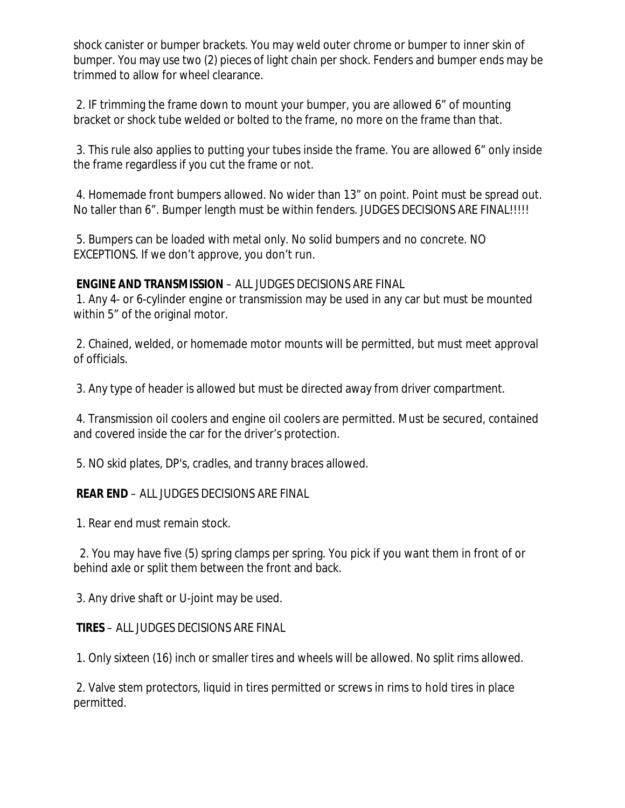shock canister or bumper brackets. You may weld outer chrome or bumper to inner skin of bumper. You may use two (2) pieces of light chain per shock. Fenders and bumper ends may be trimmed to allow for wheel clearance.

2. IF trimming the frame down to mount your bumper, you are allowed 6" of mounting bracket or shock tube welded or bolted to the frame, no more on the frame than that.

3. This rule also applies to putting your tubes inside the frame. You are allowed 6" only inside the frame regardless if you cut the frame or not.

4. Homemade front bumpers allowed. No wider than 13" on point. Point must be spread out. No taller than 6". Bumper length must be within fenders. JUDGES DECISIONS ARE FINAL!!!!!

5. Bumpers can be loaded with metal only. No solid bumpers and no concrete. NO EXCEPTIONS. If we don't approve, you don't run.

#### **ENGINE AND TRANSMISSION** – ALL JUDGES DECISIONS ARE FINAL

1. Any 4- or 6-cylinder engine or transmission may be used in any car but must be mounted within 5" of the original motor.

2. Chained, welded, or homemade motor mounts will be permitted, but must meet approval of officials.

3. Any type of header is allowed but must be directed away from driver compartment.

4. Transmission oil coolers and engine oil coolers are permitted. Must be secured, contained and covered inside the car for the driver's protection.

5. NO skid plates, DP's, cradles, and tranny braces allowed.

# **REAR END** – ALL JUDGES DECISIONS ARE FINAL

1. Rear end must remain stock.

2. You may have five (5) spring clamps per spring. You pick if you want them in front of or behind axle or split them between the front and back.

3. Any drive shaft or U-joint may be used.

#### **TIRES** – ALL JUDGES DECISIONS ARE FINAL

1. Only sixteen (16) inch or smaller tires and wheels will be allowed. No split rims allowed.

2. Valve stem protectors, liquid in tires permitted or screws in rims to hold tires in place permitted.